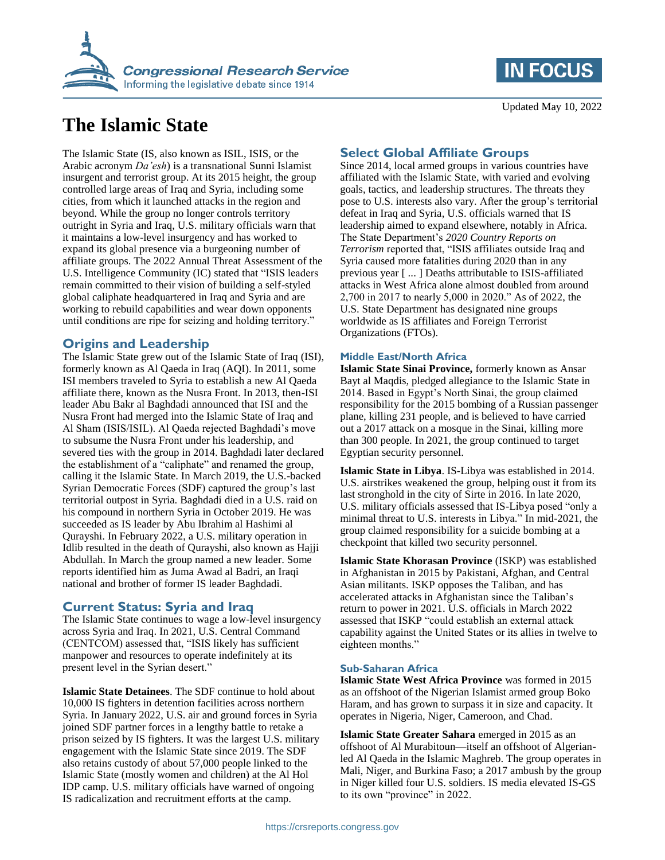

# **The Islamic State**

The Islamic State (IS, also known as ISIL, ISIS, or the Arabic acronym *Da'esh*) is a transnational Sunni Islamist insurgent and terrorist group. At its 2015 height, the group controlled large areas of Iraq and Syria, including some cities, from which it launched attacks in the region and beyond. While the group no longer controls territory outright in Syria and Iraq, U.S. military officials warn that it maintains a low-level insurgency and has worked to expand its global presence via a burgeoning number of affiliate groups. The 2022 Annual Threat Assessment of the U.S. Intelligence Community (IC) stated that "ISIS leaders remain committed to their vision of building a self-styled global caliphate headquartered in Iraq and Syria and are working to rebuild capabilities and wear down opponents until conditions are ripe for seizing and holding territory."

## **Origins and Leadership**

The Islamic State grew out of the Islamic State of Iraq (ISI), formerly known as Al Qaeda in Iraq (AQI). In 2011, some ISI members traveled to Syria to establish a new Al Qaeda affiliate there, known as the Nusra Front. In 2013, then-ISI leader Abu Bakr al Baghdadi announced that ISI and the Nusra Front had merged into the Islamic State of Iraq and Al Sham (ISIS/ISIL). Al Qaeda rejected Baghdadi's move to subsume the Nusra Front under his leadership, and severed ties with the group in 2014. Baghdadi later declared the establishment of a "caliphate" and renamed the group, calling it the Islamic State. In March 2019, the U.S.-backed Syrian Democratic Forces (SDF) captured the group's last territorial outpost in Syria. Baghdadi died in a U.S. raid on his compound in northern Syria in October 2019. He was succeeded as IS leader by Abu Ibrahim al Hashimi al Qurayshi. In February 2022, a U.S. military operation in Idlib resulted in the death of Qurayshi, also known as Hajji Abdullah. In March the group named a new leader. Some reports identified him as Juma Awad al Badri, an Iraqi national and brother of former IS leader Baghdadi.

## **Current Status: Syria and Iraq**

The Islamic State continues to wage a low-level insurgency across Syria and Iraq. In 2021, U.S. Central Command (CENTCOM) assessed that, "ISIS likely has sufficient manpower and resources to operate indefinitely at its present level in the Syrian desert."

**Islamic State Detainees**. The SDF continue to hold about 10,000 IS fighters in detention facilities across northern Syria. In January 2022, U.S. air and ground forces in Syria joined SDF partner forces in a lengthy battle to retake a prison seized by IS fighters. It was the largest U.S. military engagement with the Islamic State since 2019. The SDF also retains custody of about 57,000 people linked to the Islamic State (mostly women and children) at the Al Hol IDP camp. U.S. military officials have warned of ongoing IS radicalization and recruitment efforts at the camp.

## **Select Global Affiliate Groups**

Since 2014, local armed groups in various countries have affiliated with the Islamic State, with varied and evolving goals, tactics, and leadership structures. The threats they pose to U.S. interests also vary. After the group's territorial defeat in Iraq and Syria, U.S. officials warned that IS leadership aimed to expand elsewhere, notably in Africa. The State Department's *2020 Country Reports on Terrorism* reported that, "ISIS affiliates outside Iraq and Syria caused more fatalities during 2020 than in any previous year [ ... ] Deaths attributable to ISIS-affiliated attacks in West Africa alone almost doubled from around 2,700 in 2017 to nearly 5,000 in 2020." As of 2022, the U.S. State Department has designated nine groups worldwide as IS affiliates and Foreign Terrorist Organizations (FTOs).

### **Middle East/North Africa**

**Islamic State Sinai Province,** formerly known as Ansar Bayt al Maqdis, pledged allegiance to the Islamic State in 2014. Based in Egypt's North Sinai, the group claimed responsibility for the 2015 bombing of a Russian passenger plane, killing 231 people, and is believed to have carried out a 2017 attack on a mosque in the Sinai, killing more than 300 people. In 2021, the group continued to target Egyptian security personnel.

**Islamic State in Libya**. IS-Libya was established in 2014. U.S. airstrikes weakened the group, helping oust it from its last stronghold in the city of Sirte in 2016. In late 2020, U.S. military officials assessed that IS-Libya posed "only a minimal threat to U.S. interests in Libya." In mid-2021, the group claimed responsibility for a suicide bombing at a checkpoint that killed two security personnel.

**Islamic State Khorasan Province** (ISKP) was established in Afghanistan in 2015 by Pakistani, Afghan, and Central Asian militants. ISKP opposes the Taliban, and has accelerated attacks in Afghanistan since the Taliban's return to power in 2021. U.S. officials in March 2022 assessed that ISKP "could establish an external attack capability against the United States or its allies in twelve to eighteen months."

#### **Sub-Saharan Africa**

**Islamic State West Africa Province** was formed in 2015 as an offshoot of the Nigerian Islamist armed group Boko Haram, and has grown to surpass it in size and capacity. It operates in Nigeria, Niger, Cameroon, and Chad.

**Islamic State Greater Sahara** emerged in 2015 as an offshoot of Al Murabitoun—itself an offshoot of Algerianled Al Qaeda in the Islamic Maghreb. The group operates in Mali, Niger, and Burkina Faso; a 2017 ambush by the group in Niger killed four U.S. soldiers. IS media elevated IS-GS to its own "province" in 2022.

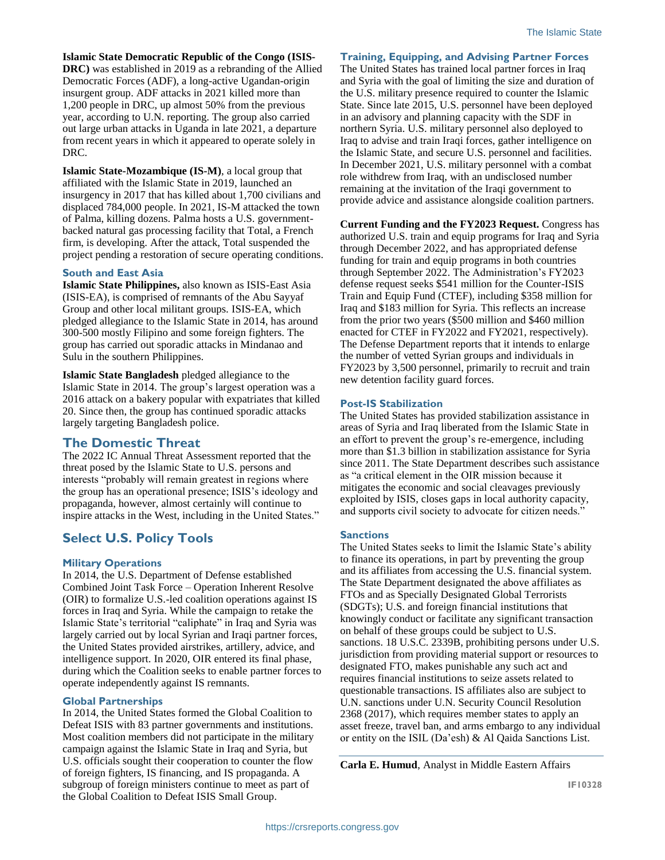**Islamic State Democratic Republic of the Congo (ISIS-**

**DRC)** was established in 2019 as a rebranding of the Allied Democratic Forces (ADF), a long-active Ugandan-origin insurgent group. ADF attacks in 2021 killed more than 1,200 people in DRC, up almost 50% from the previous year, according to U.N. reporting. The group also carried out large urban attacks in Uganda in late 2021, a departure from recent years in which it appeared to operate solely in DRC.

**Islamic State-Mozambique (IS-M)**, a local group that affiliated with the Islamic State in 2019, launched an insurgency in 2017 that has killed about 1,700 civilians and displaced 784,000 people. In 2021, IS-M attacked the town of Palma, killing dozens. Palma hosts a U.S. governmentbacked natural gas processing facility that Total, a French firm, is developing. After the attack, Total suspended the project pending a restoration of secure operating conditions.

#### **South and East Asia**

**Islamic State Philippines,** also known as ISIS-East Asia (ISIS-EA), is comprised of remnants of the Abu Sayyaf Group and other local militant groups. ISIS-EA, which pledged allegiance to the Islamic State in 2014, has around 300-500 mostly Filipino and some foreign fighters. The group has carried out sporadic attacks in Mindanao and Sulu in the southern Philippines.

**Islamic State Bangladesh** pledged allegiance to the Islamic State in 2014. The group's largest operation was a 2016 attack on a bakery popular with expatriates that killed 20. Since then, the group has continued sporadic attacks largely targeting Bangladesh police.

## **The Domestic Threat**

The 2022 IC Annual Threat Assessment reported that the threat posed by the Islamic State to U.S. persons and interests "probably will remain greatest in regions where the group has an operational presence; ISIS's ideology and propaganda, however, almost certainly will continue to inspire attacks in the West, including in the United States."

## **Select U.S. Policy Tools**

## **Military Operations**

In 2014, the U.S. Department of Defense established Combined Joint Task Force – Operation Inherent Resolve (OIR) to formalize U.S.-led coalition operations against IS forces in Iraq and Syria. While the campaign to retake the Islamic State's territorial "caliphate" in Iraq and Syria was largely carried out by local Syrian and Iraqi partner forces, the United States provided airstrikes, artillery, advice, and intelligence support. In 2020, OIR entered its final phase, during which the Coalition seeks to enable partner forces to operate independently against IS remnants.

#### **Global Partnerships**

In 2014, the United States formed the Global Coalition to Defeat ISIS with 83 partner governments and institutions. Most coalition members did not participate in the military campaign against the Islamic State in Iraq and Syria, but U.S. officials sought their cooperation to counter the flow of foreign fighters, IS financing, and IS propaganda. A subgroup of foreign ministers continue to meet as part of the Global Coalition to Defeat ISIS Small Group.

**Training, Equipping, and Advising Partner Forces**

The United States has trained local partner forces in Iraq and Syria with the goal of limiting the size and duration of the U.S. military presence required to counter the Islamic State. Since late 2015, U.S. personnel have been deployed in an advisory and planning capacity with the SDF in northern Syria. U.S. military personnel also deployed to Iraq to advise and train Iraqi forces, gather intelligence on the Islamic State, and secure U.S. personnel and facilities. In December 2021, U.S. military personnel with a combat role withdrew from Iraq, with an undisclosed number remaining at the invitation of the Iraqi government to provide advice and assistance alongside coalition partners.

**Current Funding and the FY2023 Request.** Congress has authorized U.S. train and equip programs for Iraq and Syria through December 2022, and has appropriated defense funding for train and equip programs in both countries through September 2022. The Administration's FY2023 defense request seeks \$541 million for the Counter-ISIS Train and Equip Fund (CTEF), including \$358 million for Iraq and \$183 million for Syria. This reflects an increase from the prior two years (\$500 million and \$460 million enacted for CTEF in FY2022 and FY2021, respectively). The Defense Department reports that it intends to enlarge the number of vetted Syrian groups and individuals in FY2023 by 3,500 personnel, primarily to recruit and train new detention facility guard forces.

### **Post-IS Stabilization**

The United States has provided stabilization assistance in areas of Syria and Iraq liberated from the Islamic State in an effort to prevent the group's re-emergence, including more than \$1.3 billion in stabilization assistance for Syria since 2011. The State Department describes such assistance as "a critical element in the OIR mission because it mitigates the economic and social cleavages previously exploited by ISIS, closes gaps in local authority capacity, and supports civil society to advocate for citizen needs."

## **Sanctions**

The United States seeks to limit the Islamic State's ability to finance its operations, in part by preventing the group and its affiliates from accessing the U.S. financial system. The State Department designated the above affiliates as FTOs and as Specially Designated Global Terrorists (SDGTs); U.S. and foreign financial institutions that knowingly conduct or facilitate any significant transaction on behalf of these groups could be subject to U.S. sanctions. 18 U.S.C. 2339B, prohibiting persons under U.S. jurisdiction from providing material support or resources to designated FTO, makes punishable any such act and requires financial institutions to seize assets related to questionable transactions. IS affiliates also are subject to U.N. sanctions under U.N. Security Council Resolution 2368 (2017), which requires member states to apply an asset freeze, travel ban, and arms embargo to any individual or entity on the ISIL (Da'esh) & Al Qaida Sanctions List.

**Carla E. Humud**, Analyst in Middle Eastern Affairs